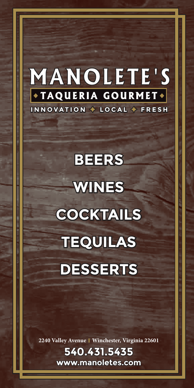## **MANOLETE'S \*TAQUERIA GOURMET\* INNOVATION**  $\div$  **LOCAL**  $\div$  **FRESH**

# **BEERS WINES COCKTAILS OCKTAILS TEQUILA TEQUILAS DESSERTS**

**2240 Valley Avenue | Winchester, Virginia 22601**

**540.431.5435 www.manoletes.com**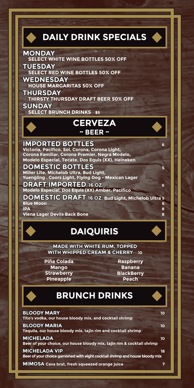#### **IMPORTED BOTTLES Victoria, Pacifico, Sol, Corona, Corona Light, Corona Familiar, Corona Premier, Negra Modelo, Modelo Especial, Tecate, Dos Equis (XX), Heineken DOMESTIC BOTTLES <sup>5</sup> Miller Lite, Michelob Ultra, Bud Light, MONDAY SELECT WHITE WINE BOTTLES 50% OFF TUESDAY SELECT RED WINE BOTTLES 50% OFF WEDNESDAY HOUSE MARGARITAS 50% OFF THURSDAY THIRSTY THURSDAY DRAFT BEER 50% OFF SUNDAY SELECT BRUNCH DRINKS \$5 DAILY DRINK SPECIALS CERVEZA ~ BEER ~**

**Yuengling , Coors Light, Flying Dog - Mexican Lager**

**DRAFT IMPORTED 16 OZ. Modelo Especial, Dos Equis (XX) Amber, Pacifico**

**DOMESTIC DRAFT 16 OZ. Bud Light, Michelob Ultra <sup>5</sup> Blue Moon 6 IPA 8**

**Viena Lager Devils Back Bone 8**

## **DAIQUIRIS AIQUIRIS**

**MADE WITH WHITE RUM, TOPPED WITH WHIPPED CREAM & CHERRY 10**

**Piña Colada Mango Strawberry Pineapple**

**Raspberry Banana BlackBerry Peach**

## **BRUNCH DRINKS**

| <b>BLOODY MARY</b><br>Tito's vodka, our house bloody mix, and cocktail shrimp                         | 10 |
|-------------------------------------------------------------------------------------------------------|----|
| <b>BLOODY MARIA</b><br>Tequila, our house bloody mix, tajin rim and cocktail shrimp                   | 10 |
| <b>MICHELADA</b><br>Beer of your choice, our house bloody mix, tajin rim & cocktail shrimp            | 10 |
| <b>MICHELADA VIP</b><br>Beer of your choice garnished with eight cocktail shrimp and house bloody mix | 18 |
| MIMOSA Cava brut, fresh squeezed orange juice                                                         |    |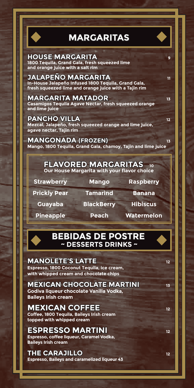

## **MARGARITAS**

**HOUSE MARGARITA 1800 Tequila, Grand Gala, fresh squeezed lime and orange juice with a salt rim**

**JALAPEÑO MARGARITA ALAPEÑO <sup>11</sup> In-House Jalapeño Infused 1800 Tequila, Grand Gala, fresh squeezed lime and orange juice with a Tajin rim**

**MARGARITA MATADOR 13 Casamigos Tequila Agave Nectar, fresh squeezed orange and lime juice**

**PANCHO VILLA 12 Mezcal, Jalapeño, fresh squeezed orange and lime juice, agave nectar, Tajin rim**

**MANGONADA** (FROZEN) **13 Mango, 1800 Tequila, Grand Gala, chamoy, Tajin and lime juice**

> **FLAVORED MARGARITAS <sup>10</sup> Our House Margarita with your flavor choice**

**Strawberry Mango Raspberry** 

**Prickly Pear** Tamarind Banana

 **Guayaba BlackBerry Hibiscus** 

 **Pineapple Peach Watermelon**

#### **BEBIDAS DE POSTRE ~ DESSERTS DRINKS ~**

#### **MANOLETE'S LATTE 12**

**Espresso, 1800 Coconut Tequila, ice cream, with whipped cream and chocolate chips**

#### **MEXICAN CHOCOLATE MARTINI EXICAN B Godiva liqueur chocolate Vanilla Vodka,**

**Baileys Irish cream**

**MEXICAN COFFEE <sup>12</sup> Coffee, 1800 Tequila, Baileys Irish cream topped with whipped cream**

### **ESPRESSO MARTINI 12**

**Espresso, coffee liqueur, Caramel Vodka, Baileys Irish cream**

**THE CARAJILLO ARAJILLO<sup>12</sup> Espresso, Baileys and caramelized liqueur 43**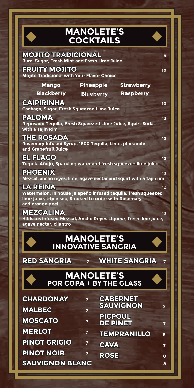| <b>MANOLETE'S</b><br>O<br><b>COCKTAILS</b>                                                                                                                         |  |  |
|--------------------------------------------------------------------------------------------------------------------------------------------------------------------|--|--|
| <b>MOJITO TRADICIONAL</b><br>9<br>Rum, Sugar, Fresh Mint and Fresh Lime Juice<br><b>FRUITY MOJITO</b><br>10                                                        |  |  |
| <b>Mojito Tradicional with Your Flavor Choice</b>                                                                                                                  |  |  |
| <b>Pineapple</b><br><b>Strawberry</b><br><b>Mango</b>                                                                                                              |  |  |
| <b>Blackberry</b><br><b>Raspberry</b><br><b>Blueberry</b><br><b>CAIPIRINHA</b><br>10<br>Cachaça, Sugar, Fresh Squeezed Lime Juice                                  |  |  |
| <b>PALOMA</b><br>13<br>Reposado Tequila, Fresh Squeezed Lime Juice, Squirt Soda,<br>with a Tajin Rim                                                               |  |  |
| <b>THE ROSADA</b><br>13<br>Rosemary Infused Syrup, 1800 Tequila, Lime, pineapple<br>and Grapefruit Juice                                                           |  |  |
| <b>EL FLACO</b><br>13<br>Tequila Añejo, Sparkling water and fresh squeezed lime juice                                                                              |  |  |
| <b>PHOENIX</b><br>13<br>Mezcal, ancho reyes, lime, agave nectar and squirt with a Tajin rim                                                                        |  |  |
| <b>LA REINA</b><br>14<br>Watermelon, In house jalapeño infused tequila, fresh squeezed<br>lime juice, triple sec, Smoked to order with Rosemary<br>and orange peel |  |  |
| <b>MEZCALINA</b><br>13<br>Hibiscus infused Mezcal, Ancho Reyes Liqueur, fresh lime juice,<br>agave nectar, cilantro                                                |  |  |
| <b>MANOLETE'S</b><br><b>INNOVATIVE SANGRIA</b>                                                                                                                     |  |  |
| <b>RED SANGRIA</b><br><b>WHITE SANGRIA</b><br>7<br>7                                                                                                               |  |  |
| <b>MANOLETE'S</b><br><b>POR COPA I BY THE GLASS</b>                                                                                                                |  |  |
| <b>CABERNET</b><br><b>CHARDONAY</b><br>7<br><b>SAUVIGNON</b><br>7<br><b>MALBEC</b>                                                                                 |  |  |
| 7<br><b>PICPOUL</b><br><b>MOSCATO</b><br>7                                                                                                                         |  |  |
| <b>DE PINET</b><br>7<br><b>MERLOT</b><br>7                                                                                                                         |  |  |
| <b>TEMPRANILLO</b><br>8<br><b>PINOT GRIGIO</b><br>7<br><b>CAVA</b><br>7                                                                                            |  |  |

**ROSE <sup>8</sup>**

**PINOT NOIR <sup>7</sup> SAUVIGNON BLANC <sup>8</sup>**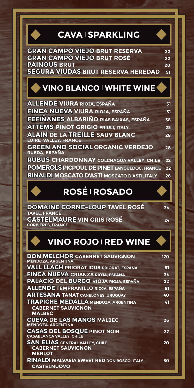## **CAVA <sup>|</sup> SPARKLING**



## **VINO BLANCO <sup>|</sup> WHITE WINE**

| <b>ALLENDE VIURA RIOJA, ESPAÑA</b>                       | 51 |
|----------------------------------------------------------|----|
| FINCA NUEVA VIURA RIOJA, ESPAÑA                          | 31 |
| FEFIÑANES ALBARIÑO RIAS BAIXAS, ESPAÑA                   | 38 |
| <b>ATTEMS PINOT GRIGIO FRIULI, ITALY</b>                 | 25 |
| <b>ALAIN DE LA TREILLE SAUV BLANC</b>                    | 28 |
| <b>LOIRE VALLEY, FRANCE</b>                              |    |
| <b>GREEN AND SOCIAL ORGANIC VERDEJO</b><br>RUEDA, ESPAÑA | 28 |
| <b>RUBUS CHARDONNAY COLCHAGUA VALLEY, CHILE</b>          | 22 |
| <b>POMEROLS PICPOUL DE PINET LANGUEDOC, FRANCE</b>       | 22 |
| RINALDI MOSCATO D'ASTI MOSCATO D'ASTI, ITALY             | 28 |

## **ROSÉ <sup>|</sup> ROSADO**

**DOMAINE CORNE-LOUP TAVEL ROSÉ 34 TAVEL, FRANCE CASTELMAURE ASTELMAUREVIN GRIS ROSÉ <sup>24</sup> CORBIERES, FRANCE** 

**VINO ROJO <sup>|</sup> RED WINE**

| <b>DON MELCHOR CABERNET SAUVIGNON</b><br><b>MENDOZA, ARGENTINA</b> | 170 |
|--------------------------------------------------------------------|-----|
| <b>VALL LLACH PRIORAT IDUS PRIORAT, ESPAÑA</b>                     | 81  |
| FINCA NUEVA CRIANZA RIOJA, ESPAÑA                                  | 34  |
| <b>PALACIO DEL BURGO RIOJA RIOJA, ESPAÑA</b>                       | 22  |
| <b>ALLENDE TEMPRANILLO RIOJA, ESPAÑA</b>                           | 51  |
| <b>ARTESANA TANAT CANELONES, URUGUAY</b>                           | 40  |
| <b>TRAPICHE MEDALLA MENDOZA, ARGENTINA</b>                         | 41  |
| <b>CABERNET SAUVIGNON</b>                                          |     |
| <b>MALBEC</b>                                                      |     |
| <b>CUEVA DE LAS MANOS MALBEC</b><br><b>MENDOZA, ARGENTINA</b>      | 26  |
| <b>CASAS DEL BOSQUE PINOT NOIR</b>                                 | 27  |
| <b>CASABLANCA VALLEY, CHILE</b>                                    |     |
| <b>SAN ELIAS CENTRAL VALLEY, CHILE</b>                             | 20  |
| <b>CABERNET SAUVIGNON</b>                                          |     |
| <b>MERLOT</b>                                                      |     |
| RINALDI MALVASIA SWEET RED DON BOSCO, ITALY                        | 30  |
| <b>CASTELNUOVO</b>                                                 |     |